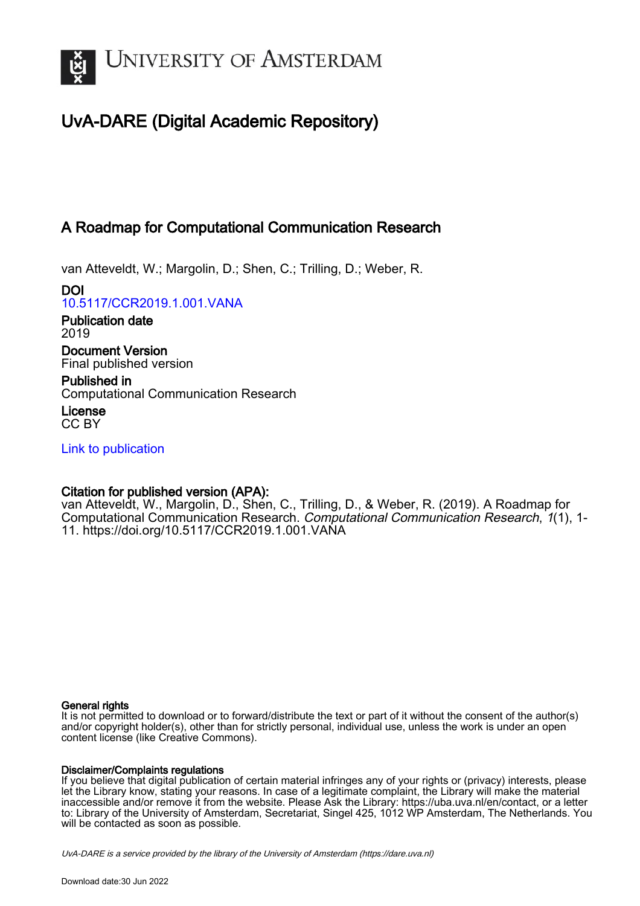

# UvA-DARE (Digital Academic Repository)

## A Roadmap for Computational Communication Research

van Atteveldt, W.; Margolin, D.; Shen, C.; Trilling, D.; Weber, R.

DOI [10.5117/CCR2019.1.001.VANA](https://doi.org/10.5117/CCR2019.1.001.VANA)

Publication date 2019

Document Version Final published version

Published in Computational Communication Research

License CC BY

[Link to publication](https://dare.uva.nl/personal/pure/en/publications/a-roadmap-for-computational-communication-research(34fefd77-5963-4f38-8c6c-7ea47a1ebb89).html)

## Citation for published version (APA):

van Atteveldt, W., Margolin, D., Shen, C., Trilling, D., & Weber, R. (2019). A Roadmap for Computational Communication Research. Computational Communication Research, 1(1), 1- 11. <https://doi.org/10.5117/CCR2019.1.001.VANA>

#### General rights

It is not permitted to download or to forward/distribute the text or part of it without the consent of the author(s) and/or copyright holder(s), other than for strictly personal, individual use, unless the work is under an open content license (like Creative Commons).

#### Disclaimer/Complaints regulations

If you believe that digital publication of certain material infringes any of your rights or (privacy) interests, please let the Library know, stating your reasons. In case of a legitimate complaint, the Library will make the material inaccessible and/or remove it from the website. Please Ask the Library: https://uba.uva.nl/en/contact, or a letter to: Library of the University of Amsterdam, Secretariat, Singel 425, 1012 WP Amsterdam, The Netherlands. You will be contacted as soon as possible.

UvA-DARE is a service provided by the library of the University of Amsterdam (http*s*://dare.uva.nl)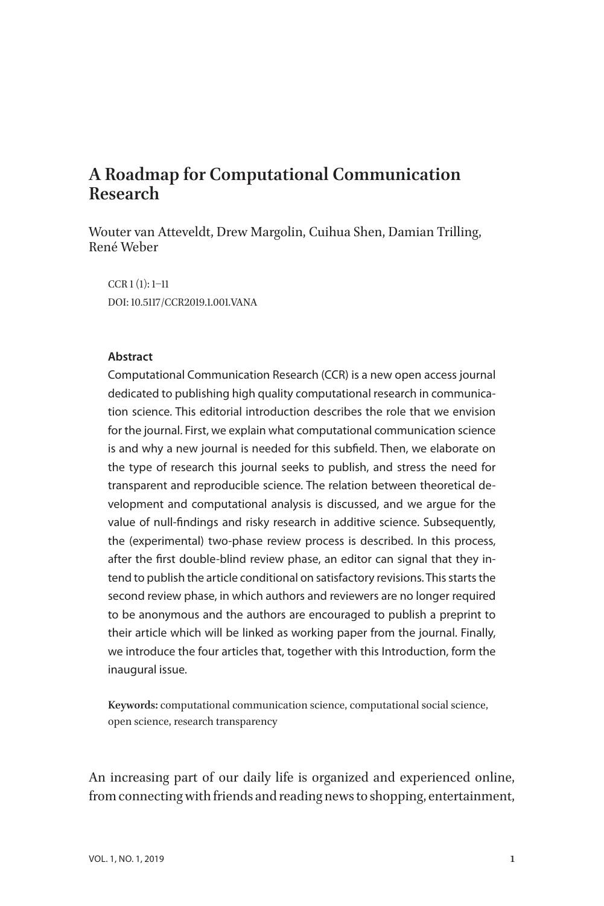## **A Roadmap for Computational Communication Research**

Wouter van Atteveldt, Drew Margolin, Cuihua Shen, Damian Trilling, René Weber

CCR 1 (1): 1[–11](#page-11-0) [DOI: 1](doi)0.5117/CCR2019.1.001.VANA

#### **Abstract**

Computational Communication Research (CCR) is a new open access journal dedicated to publishing high quality computational research in communication science. This editorial introduction describes the role that we envision for the journal. First, we explain what computational communication science is and why a new journal is needed for this subfield. Then, we elaborate on the type of research this journal seeks to publish, and stress the need for transparent and reproducible science. The relation between theoretical development and computational analysis is discussed, and we argue for the value of null-findings and risky research in additive science. Subsequently, the (experimental) two-phase review process is described. In this process, after the first double-blind review phase, an editor can signal that they intend to publish the article conditional on satisfactory revisions. This starts the second review phase, in which authors and reviewers are no longer required to be anonymous and the authors are encouraged to publish a preprint to their article which will be linked as working paper from the journal. Finally, we introduce the four articles that, together with this Introduction, form the inaugural issue.

**Keywords:** computational communication science, computational social science, open science, research transparency

An increasing part of our daily life is organized and experienced online, from connecting with friends and reading news to shopping, entertainment,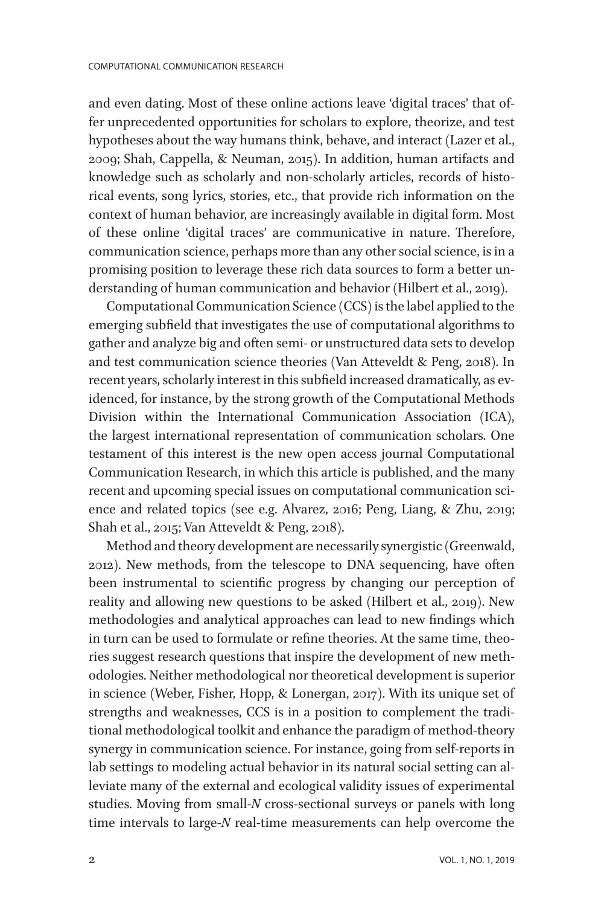and even dating. Most of these online actions leave 'digital traces' that offer unprecedented opportunities for scholars to explore, theorize, and test hypotheses about the way humans think, behave, and interact ([Lazer et al.,](#page-10-0) [2009;](#page-10-0) [Shah, Cappella, & Neuman, 2015](#page-10-1)). In addition, human artifacts and knowledge such as scholarly and non-scholarly articles, records of historical events, song lyrics, stories, etc., that provide rich information on the context of human behavior, are increasingly available in digital form. Most of these online 'digital traces' are communicative in nature. Therefore, communication science, perhaps more than any other social science, is in a promising position to leverage these rich data sources to form a better understanding of human communication and behavior ([Hilbert et al., 2019\)](#page-9-0).

Computational Communication Science (CCS) is the label applied to the emerging subfield that investigates the use of computational algorithms to gather and analyze big and often semi- or unstructured data sets to develop and test communication science theories ([Van Atteveldt & Peng, 2018\)](#page-10-2). In recent years, scholarly interest in this subfield increased dramatically, as evidenced, for instance, by the strong growth of the Computational Methods Division within the International Communication Association (ICA), the largest international representation of communication scholars. One testament of this interest is the new open access journal Computational Communication Research, in which this article is published, and the many recent and upcoming special issues on computational communication science and related topics (see e.g. [Alvarez, 2016;](#page-9-1) [Peng, Liang, & Zhu, 2019](#page-10-3); [Shah et al., 2015;](#page-10-1) [Van Atteveldt & Peng, 2018\)](#page-10-2).

Method and theory development are necessarily synergistic [\(Greenwald,](#page-9-2) [2012](#page-9-2)). New methods, from the telescope to DNA sequencing, have often been instrumental to scientific progress by changing our perception of reality and allowing new questions to be asked [\(Hilbert et al., 2019\)](#page-9-0). New methodologies and analytical approaches can lead to new findings which in turn can be used to formulate or refine theories. At the same time, theories suggest research questions that inspire the development of new methodologies. Neither methodological nor theoretical development is superior in science ([Weber, Fisher, Hopp, & Lonergan, 2017\)](#page-10-4). With its unique set of strengths and weaknesses, CCS is in a position to complement the traditional methodological toolkit and enhance the paradigm of method-theory synergy in communication science. For instance, going from self-reports in lab settings to modeling actual behavior in its natural social setting can alleviate many of the external and ecological validity issues of experimental studies. Moving from small-*N* cross-sectional surveys or panels with long time intervals to large-*N* real-time measurements can help overcome the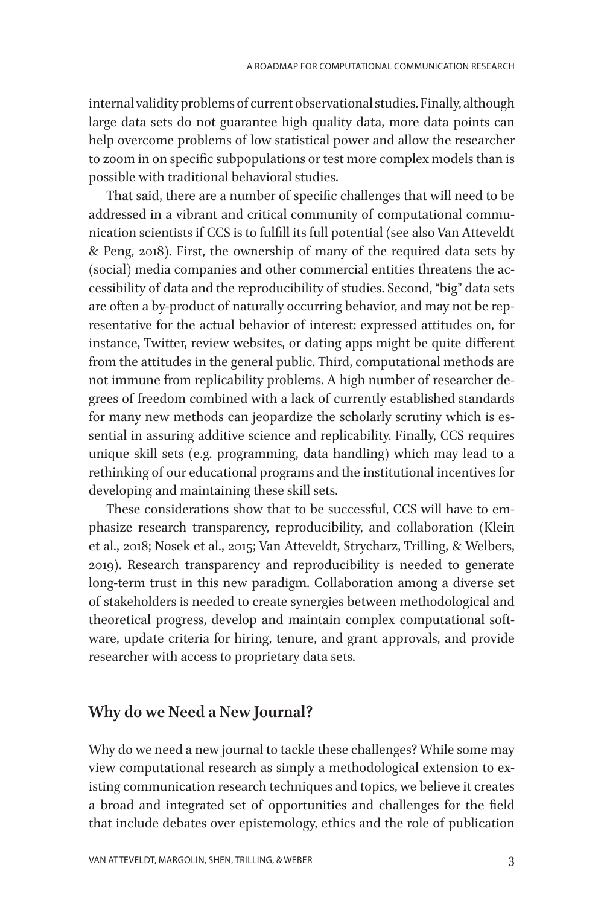internal validity problems of current observational studies. Finally, although large data sets do not guarantee high quality data, more data points can help overcome problems of low statistical power and allow the researcher to zoom in on specific subpopulations or test more complex models than is possible with traditional behavioral studies.

That said, there are a number of specific challenges that will need to be addressed in a vibrant and critical community of computational communication scientists if CCS is to fulfill its full potential (see also [Van Atteveldt](#page-10-2) [& Peng, 2018](#page-10-2)). First, the ownership of many of the required data sets by (social) media companies and other commercial entities threatens the accessibility of data and the reproducibility of studies. Second, "big" data sets are often a by-product of naturally occurring behavior, and may not be representative for the actual behavior of interest: expressed attitudes on, for instance, Twitter, review websites, or dating apps might be quite different from the attitudes in the general public. Third, computational methods are not immune from replicability problems. A high number of researcher degrees of freedom combined with a lack of currently established standards for many new methods can jeopardize the scholarly scrutiny which is essential in assuring additive science and replicability. Finally, CCS requires unique skill sets (e.g. programming, data handling) which may lead to a rethinking of our educational programs and the institutional incentives for developing and maintaining these skill sets.

These considerations show that to be successful, CCS will have to emphasize research transparency, reproducibility, and collaboration ([Klein](#page-9-3) [et al., 2018;](#page-9-3) [Nosek et al., 2015](#page-10-5); [Van Atteveldt, Strycharz, Trilling, & Welbers,](#page-10-6) [2019](#page-10-6)). Research transparency and reproducibility is needed to generate long-term trust in this new paradigm. Collaboration among a diverse set of stakeholders is needed to create synergies between methodological and theoretical progress, develop and maintain complex computational software, update criteria for hiring, tenure, and grant approvals, and provide researcher with access to proprietary data sets.

#### **Why do we Need a New Journal?**

Why do we need a new journal to tackle these challenges? While some may view computational research as simply a methodological extension to existing communication research techniques and topics, we believe it creates a broad and integrated set of opportunities and challenges for the field that include debates over epistemology, ethics and the role of publication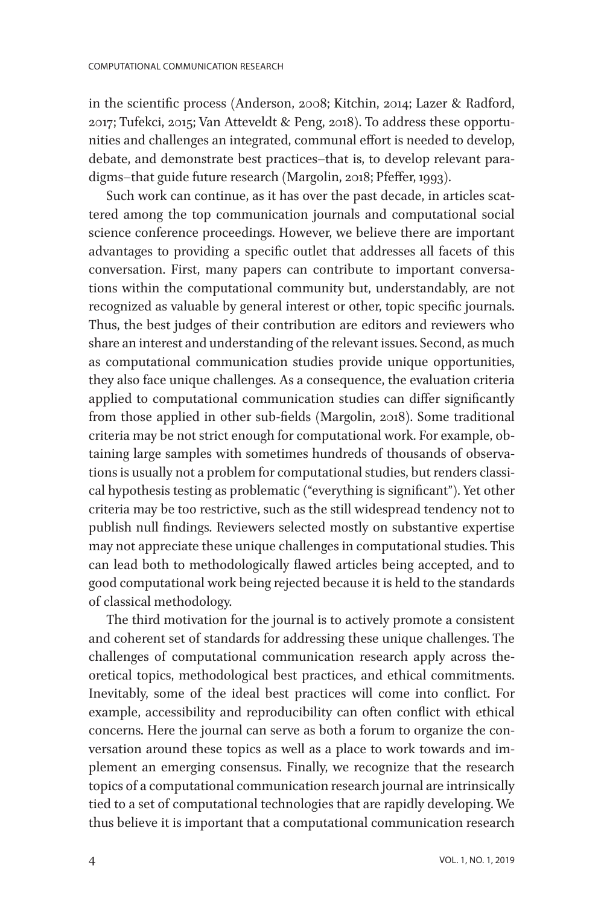in the scientific process ([Anderson, 2008;](#page-9-4) [Kitchin, 2014;](#page-9-5) [Lazer & Radford,](#page-10-7) [2017;](#page-10-7) [Tufekci, 2015](#page-10-8); [Van Atteveldt & Peng, 2018](#page-10-2)). To address these opportunities and challenges an integrated, communal effort is needed to develop, debate, and demonstrate best practices–that is, to develop relevant paradigms–that guide future research [\(Margolin, 2018](#page-10-9); [Pfeffer, 1993\)](#page-10-10).

Such work can continue, as it has over the past decade, in articles scattered among the top communication journals and computational social science conference proceedings. However, we believe there are important advantages to providing a specific outlet that addresses all facets of this conversation. First, many papers can contribute to important conversations within the computational community but, understandably, are not recognized as valuable by general interest or other, topic specific journals. Thus, the best judges of their contribution are editors and reviewers who share an interest and understanding of the relevant issues. Second, as much as computational communication studies provide unique opportunities, they also face unique challenges. As a consequence, the evaluation criteria applied to computational communication studies can differ significantly from those applied in other sub-fields ([Margolin, 2018\)](#page-10-9). Some traditional criteria may be not strict enough for computational work. For example, obtaining large samples with sometimes hundreds of thousands of observations is usually not a problem for computational studies, but renders classical hypothesis testing as problematic ("everything is significant"). Yet other criteria may be too restrictive, such as the still widespread tendency not to publish null findings. Reviewers selected mostly on substantive expertise may not appreciate these unique challenges in computational studies. This can lead both to methodologically flawed articles being accepted, and to good computational work being rejected because it is held to the standards of classical methodology.

The third motivation for the journal is to actively promote a consistent and coherent set of standards for addressing these unique challenges. The challenges of computational communication research apply across theoretical topics, methodological best practices, and ethical commitments. Inevitably, some of the ideal best practices will come into conflict. For example, accessibility and reproducibility can often conflict with ethical concerns. Here the journal can serve as both a forum to organize the conversation around these topics as well as a place to work towards and implement an emerging consensus. Finally, we recognize that the research topics of a computational communication research journal are intrinsically tied to a set of computational technologies that are rapidly developing. We thus believe it is important that a computational communication research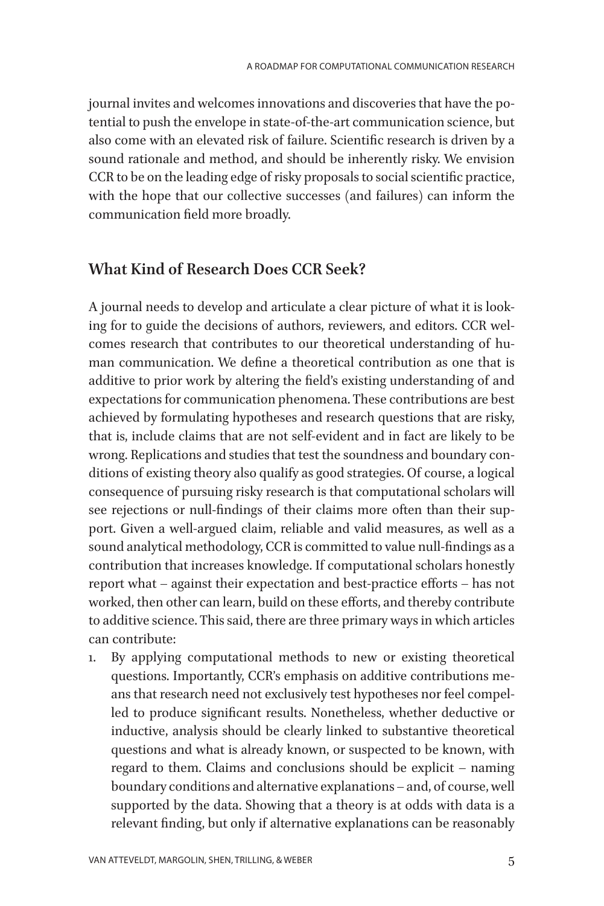journal invites and welcomes innovations and discoveries that have the potential to push the envelope in state-of-the-art communication science, but also come with an elevated risk of failure. Scientific research is driven by a sound rationale and method, and should be inherently risky. We envision CCR to be on the leading edge of risky proposals to social scientific practice, with the hope that our collective successes (and failures) can inform the communication field more broadly.

#### **What Kind of Research Does CCR Seek?**

A journal needs to develop and articulate a clear picture of what it is looking for to guide the decisions of authors, reviewers, and editors. CCR welcomes research that contributes to our theoretical understanding of human communication. We define a theoretical contribution as one that is additive to prior work by altering the field's existing understanding of and expectations for communication phenomena. These contributions are best achieved by formulating hypotheses and research questions that are risky, that is, include claims that are not self-evident and in fact are likely to be wrong. Replications and studies that test the soundness and boundary conditions of existing theory also qualify as good strategies. Of course, a logical consequence of pursuing risky research is that computational scholars will see rejections or null-findings of their claims more often than their support. Given a well-argued claim, reliable and valid measures, as well as a sound analytical methodology, CCR is committed to value null-findings as a contribution that increases knowledge. If computational scholars honestly report what – against their expectation and best-practice efforts – has not worked, then other can learn, build on these efforts, and thereby contribute to additive science. This said, there are three primary ways in which articles can contribute:

1. By applying computational methods to new or existing theoretical questions. Importantly, CCR's emphasis on additive contributions means that research need not exclusively test hypotheses nor feel compelled to produce significant results. Nonetheless, whether deductive or inductive, analysis should be clearly linked to substantive theoretical questions and what is already known, or suspected to be known, with regard to them. Claims and conclusions should be explicit – naming boundary conditions and alternative explanations – and, of course, well supported by the data. Showing that a theory is at odds with data is a relevant finding, but only if alternative explanations can be reasonably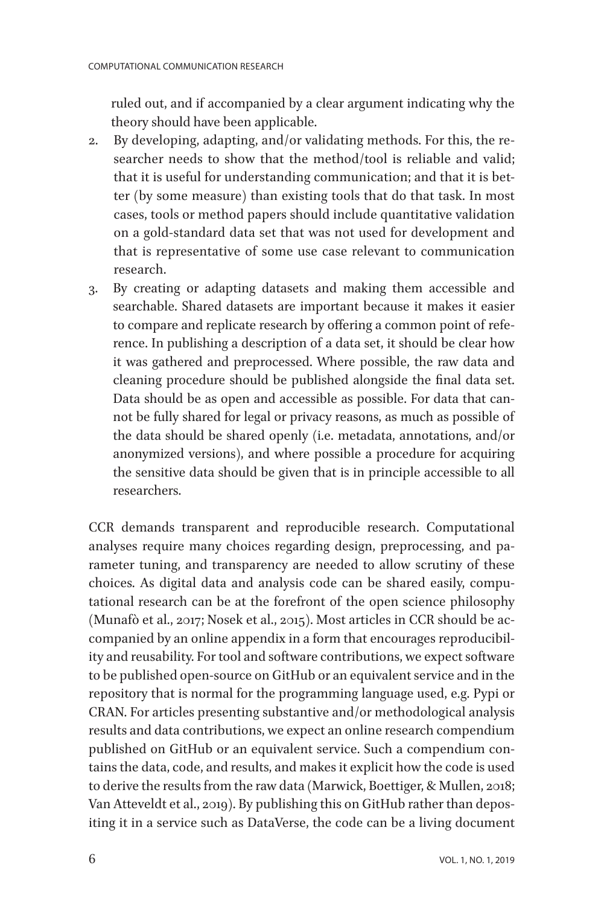ruled out, and if accompanied by a clear argument indicating why the theory should have been applicable.

- 2. By developing, adapting, and/or validating methods. For this, the researcher needs to show that the method/tool is reliable and valid; that it is useful for understanding communication; and that it is better (by some measure) than existing tools that do that task. In most cases, tools or method papers should include quantitative validation on a gold-standard data set that was not used for development and that is representative of some use case relevant to communication research.
- 3. By creating or adapting datasets and making them accessible and searchable. Shared datasets are important because it makes it easier to compare and replicate research by offering a common point of reference. In publishing a description of a data set, it should be clear how it was gathered and preprocessed. Where possible, the raw data and cleaning procedure should be published alongside the final data set. Data should be as open and accessible as possible. For data that cannot be fully shared for legal or privacy reasons, as much as possible of the data should be shared openly (i.e. metadata, annotations, and/or anonymized versions), and where possible a procedure for acquiring the sensitive data should be given that is in principle accessible to all researchers.

CCR demands transparent and reproducible research. Computational analyses require many choices regarding design, preprocessing, and parameter tuning, and transparency are needed to allow scrutiny of these choices. As digital data and analysis code can be shared easily, computational research can be at the forefront of the open science philosophy ([Munafò et al., 2017](#page-10-11); [Nosek et al., 2015\)](#page-10-5). Most articles in CCR should be accompanied by an online appendix in a form that encourages reproducibility and reusability. For tool and software contributions, we expect software to be published open-source on GitHub or an equivalent service and in the repository that is normal for the programming language used, e.g. Pypi or CRAN. For articles presenting substantive and/or methodological analysis results and data contributions, we expect an online research compendium published on GitHub or an equivalent service. Such a compendium contains the data, code, and results, and makes it explicit how the code is used to derive the results from the raw data ([Marwick, Boettiger, & Mullen, 2018](#page-10-12); [Van Atteveldt et al., 2019\)](#page-10-6). By publishing this on GitHub rather than depositing it in a service such as DataVerse, the code can be a living document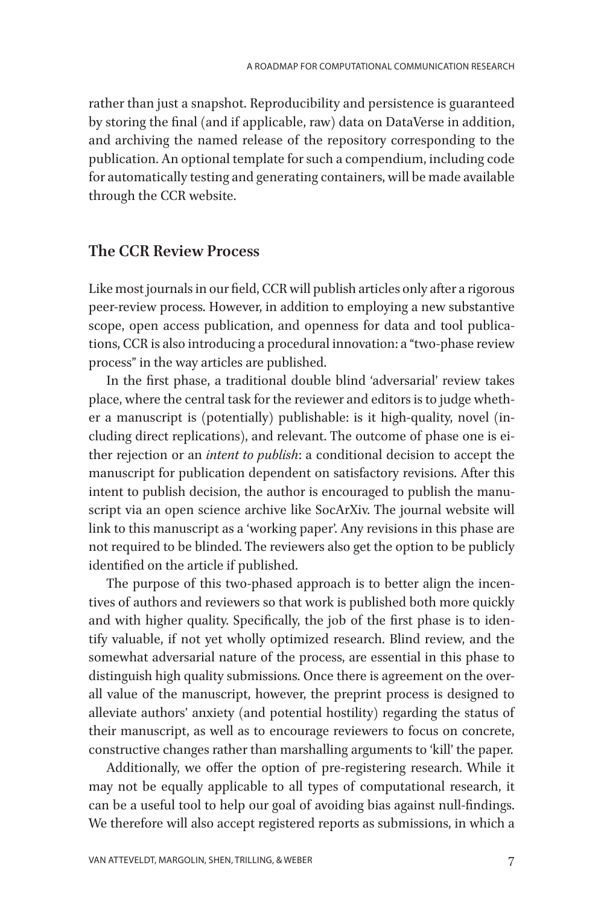rather than just a snapshot. Reproducibility and persistence is guaranteed by storing the final (and if applicable, raw) data on DataVerse in addition, and archiving the named release of the repository corresponding to the publication. An optional template for such a compendium, including code for automatically testing and generating containers, will be made available through the CCR website.

#### **The CCR Review Process**

Like most journals in our field, CCR will publish articles only after a rigorous peer-review process. However, in addition to employing a new substantive scope, open access publication, and openness for data and tool publications, CCR is also introducing a procedural innovation: a "two-phase review process" in the way articles are published.

In the first phase, a traditional double blind 'adversarial' review takes place, where the central task for the reviewer and editors is to judge whether a manuscript is (potentially) publishable: is it high-quality, novel (including direct replications), and relevant. The outcome of phase one is either rejection or an *intent to publish*: a conditional decision to accept the manuscript for publication dependent on satisfactory revisions. After this intent to publish decision, the author is encouraged to publish the manuscript via an open science archive like SocArXiv. The journal website will link to this manuscript as a 'working paper'. Any revisions in this phase are not required to be blinded. The reviewers also get the option to be publicly identified on the article if published.

The purpose of this two-phased approach is to better align the incentives of authors and reviewers so that work is published both more quickly and with higher quality. Specifically, the job of the first phase is to identify valuable, if not yet wholly optimized research. Blind review, and the somewhat adversarial nature of the process, are essential in this phase to distinguish high quality submissions. Once there is agreement on the overall value of the manuscript, however, the preprint process is designed to alleviate authors' anxiety (and potential hostility) regarding the status of their manuscript, as well as to encourage reviewers to focus on concrete, constructive changes rather than marshalling arguments to 'kill' the paper.

Additionally, we offer the option of pre-registering research. While it may not be equally applicable to all types of computational research, it can be a useful tool to help our goal of avoiding bias against null-findings. We therefore will also accept registered reports as submissions, in which a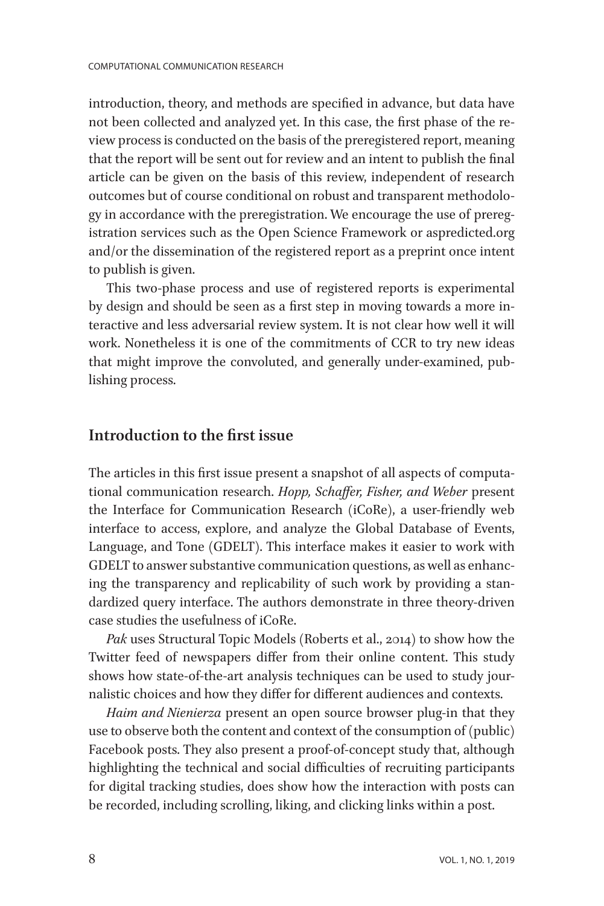introduction, theory, and methods are specified in advance, but data have not been collected and analyzed yet. In this case, the first phase of the review process is conducted on the basis of the preregistered report, meaning that the report will be sent out for review and an intent to publish the final article can be given on the basis of this review, independent of research outcomes but of course conditional on robust and transparent methodology in accordance with the preregistration. We encourage the use of preregistration services such as the Open Science Framework or aspredicted.org and/or the dissemination of the registered report as a preprint once intent to publish is given.

This two-phase process and use of registered reports is experimental by design and should be seen as a first step in moving towards a more interactive and less adversarial review system. It is not clear how well it will work. Nonetheless it is one of the commitments of CCR to try new ideas that might improve the convoluted, and generally under-examined, publishing process.

#### **Introduction to the first issue**

The articles in this first issue present a snapshot of all aspects of computational communication research. *Hopp, Schaffer, Fisher, and Weber* present the Interface for Communication Research (iCoRe), a user-friendly web interface to access, explore, and analyze the Global Database of Events, Language, and Tone (GDELT). This interface makes it easier to work with GDELT to answer substantive communication questions, as well as enhancing the transparency and replicability of such work by providing a standardized query interface. The authors demonstrate in three theory-driven case studies the usefulness of iCoRe.

*Pak* uses Structural Topic Models ([Roberts et al., 2014](#page-10-13)) to show how the Twitter feed of newspapers differ from their online content. This study shows how state-of-the-art analysis techniques can be used to study journalistic choices and how they differ for different audiences and contexts.

*Haim and Nienierza* present an open source browser plug-in that they use to observe both the content and context of the consumption of (public) Facebook posts. They also present a proof-of-concept study that, although highlighting the technical and social difficulties of recruiting participants for digital tracking studies, does show how the interaction with posts can be recorded, including scrolling, liking, and clicking links within a post.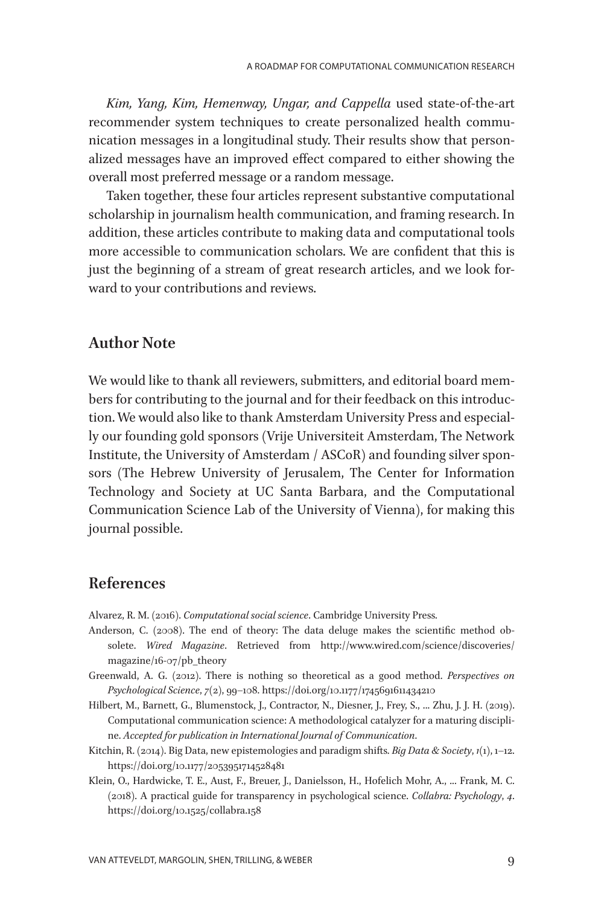*Kim, Yang, Kim, Hemenway, Ungar, and Cappella* used state-of-the-art recommender system techniques to create personalized health communication messages in a longitudinal study. Their results show that personalized messages have an improved effect compared to either showing the overall most preferred message or a random message.

Taken together, these four articles represent substantive computational scholarship in journalism health communication, and framing research. In addition, these articles contribute to making data and computational tools more accessible to communication scholars. We are confident that this is just the beginning of a stream of great research articles, and we look forward to your contributions and reviews.

#### **Author Note**

We would like to thank all reviewers, submitters, and editorial board members for contributing to the journal and for their feedback on this introduction. We would also like to thank Amsterdam University Press and especially our founding gold sponsors (Vrije Universiteit Amsterdam, The Network Institute, the University of Amsterdam / ASCoR) and founding silver sponsors (The Hebrew University of Jerusalem, The Center for Information Technology and Society at UC Santa Barbara, and the Computational Communication Science Lab of the University of Vienna), for making this journal possible.

#### **References**

- <span id="page-9-1"></span>Alvarez, R. M. (2016). *Computational social science*. Cambridge University Press.
- <span id="page-9-4"></span>Anderson, C. (2008). The end of theory: The data deluge makes the scientific method obsolete. *Wired Magazine*. Retrieved from [http://www.wired.com/science/discoveries/](http://www.wired.com/science/discoveries/magazine/16-07/pb_theory) [magazine/16-07/pb\\_theory](http://www.wired.com/science/discoveries/magazine/16-07/pb_theory)
- <span id="page-9-2"></span>Greenwald, A. G. (2012). There is nothing so theoretical as a good method. *Perspectives on Psychological Science*, *7*(2), 99–108.<https://doi.org/10.1177/1745691611434210>
- <span id="page-9-0"></span>Hilbert, M., Barnett, G., Blumenstock, J., Contractor, N., Diesner, J., Frey, S., ... Zhu, J. J. H. (2019). Computational communication science: A methodological catalyzer for a maturing discipline. *Accepted for publication in International Journal of Communication*.
- <span id="page-9-5"></span>Kitchin, R. (2014). Big Data, new epistemologies and paradigm shifts. *Big Data & Society*, *1*(1), 1–12. <https://doi.org/10.1177/2053951714528481>
- <span id="page-9-3"></span>Klein, O., Hardwicke, T. E., Aust, F., Breuer, J., Danielsson, H., Hofelich Mohr, A., ... Frank, M. C. (2018). A practical guide for transparency in psychological science. *Collabra: Psychology*, *4*. <https://doi.org/10.1525/collabra.158>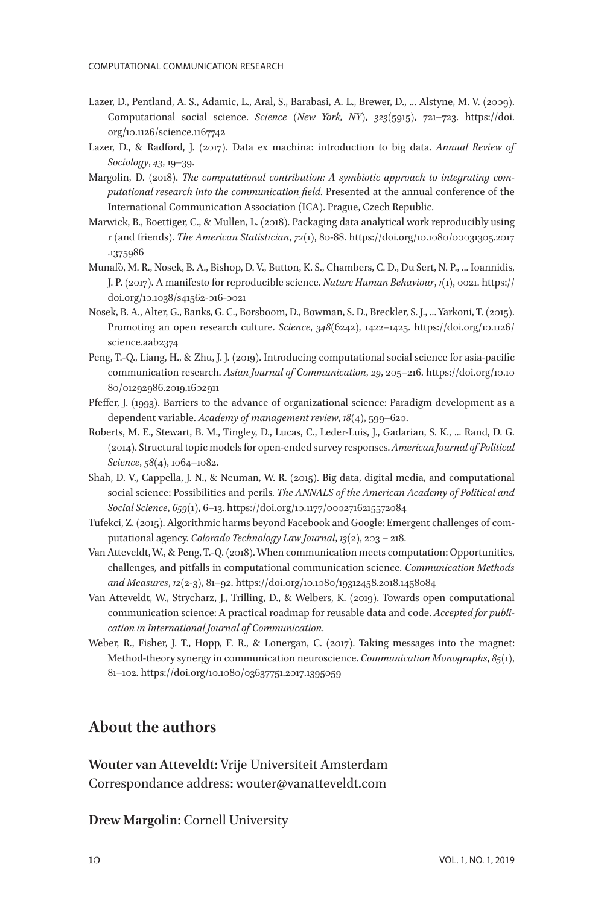- <span id="page-10-0"></span>Lazer, D., Pentland, A. S., Adamic, L., Aral, S., Barabasi, A. L., Brewer, D., ... Alstyne, M. V. (2009). Computational social science. *Science* (*New York, NY*), *323*(5915), 721–723. [https://doi.](https://doi.org/10.1126/science.1167742) [org/10.1126/science.1167742](https://doi.org/10.1126/science.1167742)
- <span id="page-10-7"></span>Lazer, D., & Radford, J. (2017). Data ex machina: introduction to big data. *Annual Review of Sociology*, *43*, 19–39.
- <span id="page-10-9"></span>Margolin, D. (2018). *The computational contribution: A symbiotic approach to integrating computational research into the communication field*. Presented at the annual conference of the International Communication Association (ICA). Prague, Czech Republic.
- <span id="page-10-12"></span>Marwick, B., Boettiger, C., & Mullen, L. (2018). Packaging data analytical work reproducibly using r (and friends). *The American Statistician*, *72*(1), 80-88. [https://doi.org/10.1080/00031305.2017](https://doi.org/10.1080/00031305.2017.1375986) [.1375986](https://doi.org/10.1080/00031305.2017.1375986)
- <span id="page-10-11"></span>Munafò, M. R., Nosek, B. A., Bishop, D. V., Button, K. S., Chambers, C. D., Du Sert, N. P., ... Ioannidis, J. P. (2017). A manifesto for reproducible science. *Nature Human Behaviour*, *1*(1), 0021. [https://](https://doi.org/10.1038/s41562-016-0021) [doi.org/10.1038/s41562-016-0021](https://doi.org/10.1038/s41562-016-0021)
- <span id="page-10-5"></span>Nosek, B. A., Alter, G., Banks, G. C., Borsboom, D., Bowman, S. D., Breckler, S. J., ... Yarkoni, T. (2015). Promoting an open research culture. *Science*, *348*(6242), 1422–1425. [https://doi.org/10.1126/](https://doi.org/10.1126/science.aab2374) [science.aab2374](https://doi.org/10.1126/science.aab2374)
- <span id="page-10-3"></span>Peng, T.-Q., Liang, H., & Zhu, J. J. (2019). Introducing computational social science for asia-pacific communication research. *Asian Journal of Communication*, *29*, 205–216. [https://doi.org/10.10](https://doi.org/10.1080/01292986.2019.1602911) [80/01292986.2019.1602911](https://doi.org/10.1080/01292986.2019.1602911)
- <span id="page-10-10"></span>Pfeffer, J. (1993). Barriers to the advance of organizational science: Paradigm development as a dependent variable. *Academy of management review*, *18*(4), 599–620.
- <span id="page-10-13"></span>Roberts, M. E., Stewart, B. M., Tingley, D., Lucas, C., Leder-Luis, J., Gadarian, S. K., ... Rand, D. G. (2014). Structural topic models for open-ended survey responses. *American Journal of Political Science*, *58*(4), 1064–1082.
- <span id="page-10-1"></span>Shah, D. V., Cappella, J. N., & Neuman, W. R. (2015). Big data, digital media, and computational social science: Possibilities and perils. *The ANNALS of the American Academy of Political and Social Science*, *659*(1), 6–13.<https://doi.org/10.1177/0002716215572084>
- <span id="page-10-8"></span>Tufekci, Z. (2015). Algorithmic harms beyond Facebook and Google: Emergent challenges of computational agency. *Colorado Technology Law Journal*, *13*(2), 203 – 218.
- <span id="page-10-2"></span>Van Atteveldt, W., & Peng, T.-Q. (2018). When communication meets computation: Opportunities, challenges, and pitfalls in computational communication science. *Communication Methods and Measures*, *12*(2-3), 81–92. <https://doi.org/10.1080/19312458.2018.1458084>
- <span id="page-10-6"></span>Van Atteveldt, W., Strycharz, J., Trilling, D., & Welbers, K. (2019). Towards open computational communication science: A practical roadmap for reusable data and code. *Accepted for publication in International Journal of Communication*.
- <span id="page-10-4"></span>Weber, R., Fisher, J. T., Hopp, F. R., & Lonergan, C. (2017). Taking messages into the magnet: Method-theory synergy in communication neuroscience. *Communication Monographs*, *85*(1), 81–102.<https://doi.org/10.1080/03637751.2017.1395059>

#### **About the authors**

**Wouter van Atteveldt:** Vrije Universiteit Amsterdam Correspondance address: [wouter@vanatteveldt.com](mailto:wouter@vanatteveldt.com)

**Drew Margolin:** Cornell University